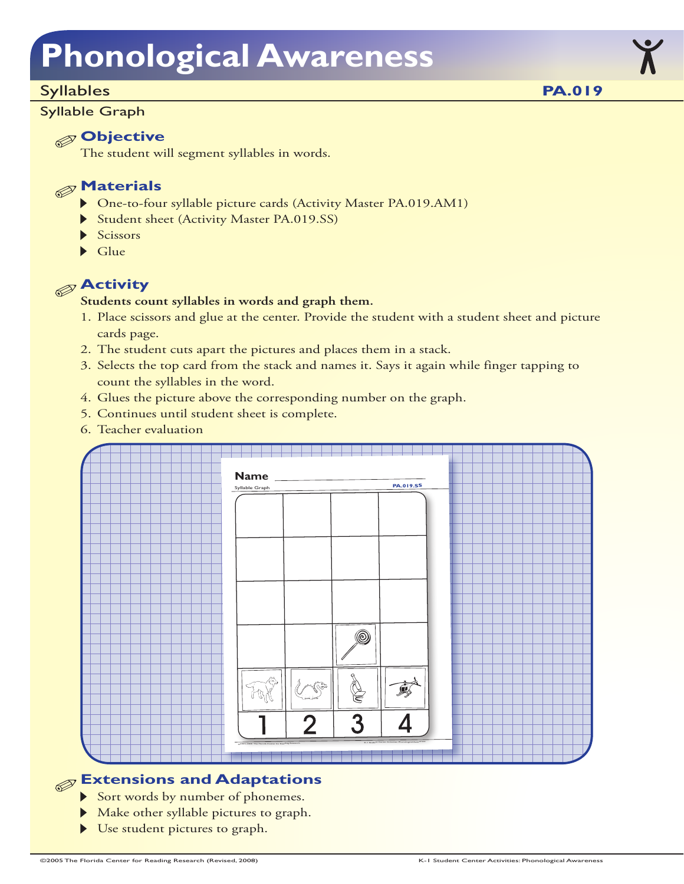# **Phonological Awareness**

#### Syllables

#### Syllable Graph

### **Objective**

The student will segment syllables in words.

### **Materials**

- One-to-four syllable picture cards (Activity Master PA.019.AM1)
- Student sheet (Activity Master PA.019.SS)
- Scissors
- $\blacktriangleright$  Glue



#### **Students count syllables in words and graph them.**

- 1. Place scissors and glue at the center. Provide the student with a student sheet and picture cards page.
- 2. The student cuts apart the pictures and places them in a stack.
- 3. Selects the top card from the stack and names it. Says it again while finger tapping to count the syllables in the word.
- 4. Glues the picture above the corresponding number on the graph.
- 5. Continues until student sheet is complete.
- 6. Teacher evaluation



### **Extensions and Adaptations**

- Sort words by number of phonemes.
- Make other syllable pictures to graph.
- Use student pictures to graph.

**PA.019**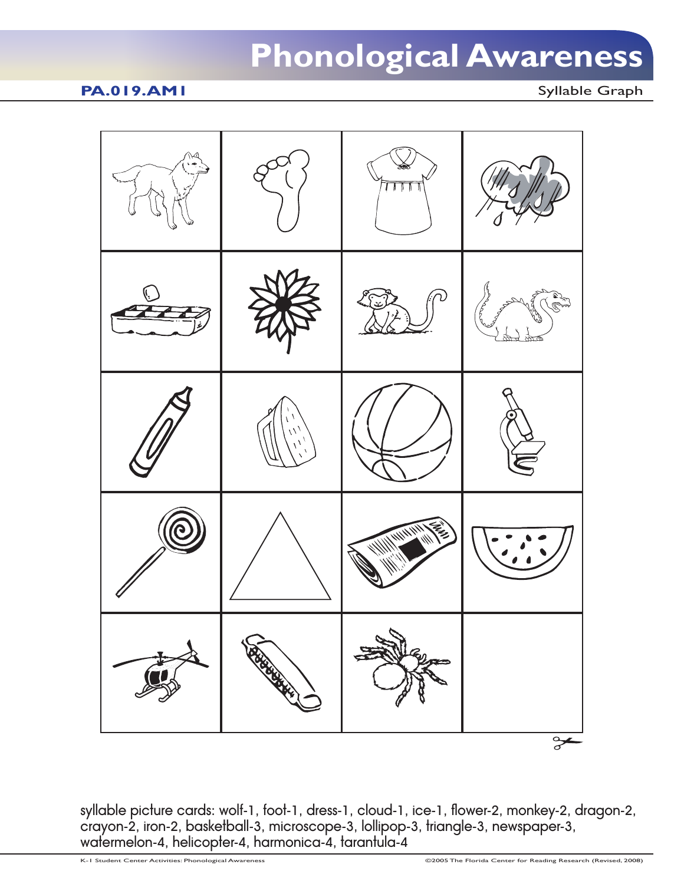## **Phonological Awareness**

#### **PA.019.AM1** Syllable Graph



syllable picture cards: wolf-1, foot-1, dress-1, cloud-1, ice-1, flower-2, monkey-2, dragon-2, crayon-2, iron-2, basketball-3, microscope-3, lollipop-3, triangle-3, newspaper-3, watermelon-4, helicopter-4, harmonica-4, tarantula-4